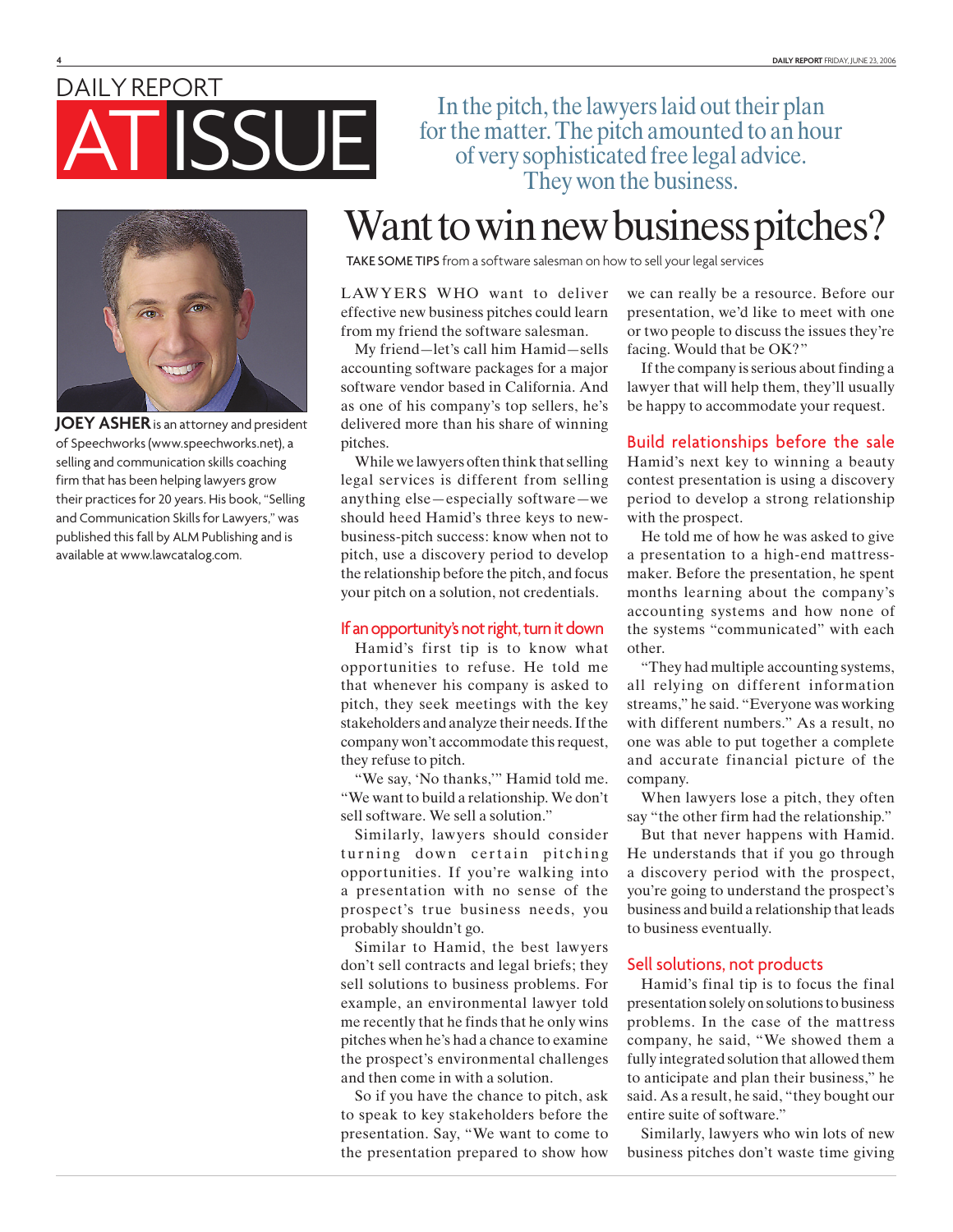

In the pitch, the lawyers laid out their plan for the matter. The pitch amounted to an hour of very sophisticated free legal advice. They won the business.



**JOEY ASHER** is an attorney and president of Speechworks (www.speechworks.net), a selling and communication skills coaching firm that has been helping lawyers grow their practices for 20 years. His book, "Selling and Communication Skills for Lawyers," was published this fall by ALM Publishing and is available at www.lawcatalog.com.

## Want to win new business pitches?

TAKE SOME TIPS from a software salesman on how to sell your legal services

Lawyers who want to deliver effective new business pitches could learn from my friend the software salesman.

My friend—let's call him Hamid—sells accounting software packages for a major software vendor based in California. And as one of his company's top sellers, he's delivered more than his share of winning pitches.

While we lawyers often think that selling legal services is different from selling anything else—especially software—we should heed Hamid's three keys to newbusiness-pitch success: know when not to pitch, use a discovery period to develop the relationship before the pitch, and focus your pitch on a solution, not credentials.

## If an opportunity's not right, turn it down

Hamid's first tip is to know what opportunities to refuse. He told me that whenever his company is asked to pitch, they seek meetings with the key stakeholders and analyze their needs. If the company won't accommodate this request, they refuse to pitch.

"We say, 'No thanks,'" Hamid told me. "We want to build a relationship. We don't sell software. We sell a solution."

Similarly, lawyers should consider turning down certain pitching opportunities. If you're walking into a presentation with no sense of the prospect's true business needs, you probably shouldn't go.

Similar to Hamid, the best lawyers don't sell contracts and legal briefs; they sell solutions to business problems. For example, an environmental lawyer told me recently that he finds that he only wins pitches when he's had a chance to examine the prospect's environmental challenges and then come in with a solution.

So if you have the chance to pitch, ask to speak to key stakeholders before the presentation. Say, "We want to come to the presentation prepared to show how we can really be a resource. Before our presentation, we'd like to meet with one or two people to discuss the issues they're facing. Would that be OK?"

If the company is serious about finding a lawyer that will help them, they'll usually be happy to accommodate your request.

## Build relationships before the sale

Hamid's next key to winning a beauty contest presentation is using a discovery period to develop a strong relationship with the prospect.

He told me of how he was asked to give a presentation to a high-end mattressmaker. Before the presentation, he spent months learning about the company's accounting systems and how none of the systems "communicated" with each other.

"They had multiple accounting systems, all relying on different information streams," he said. "Everyone was working with different numbers." As a result, no one was able to put together a complete and accurate financial picture of the company.

When lawyers lose a pitch, they often say "the other firm had the relationship."

But that never happens with Hamid. He understands that if you go through a discovery period with the prospect, you're going to understand the prospect's business and build a relationship that leads to business eventually.

## Sell solutions, not products

Hamid's final tip is to focus the final presentation solely on solutions to business problems. In the case of the mattress company, he said, "We showed them a fully integrated solution that allowed them to anticipate and plan their business," he said. As a result, he said, "they bought our entire suite of software."

Similarly, lawyers who win lots of new business pitches don't waste time giving